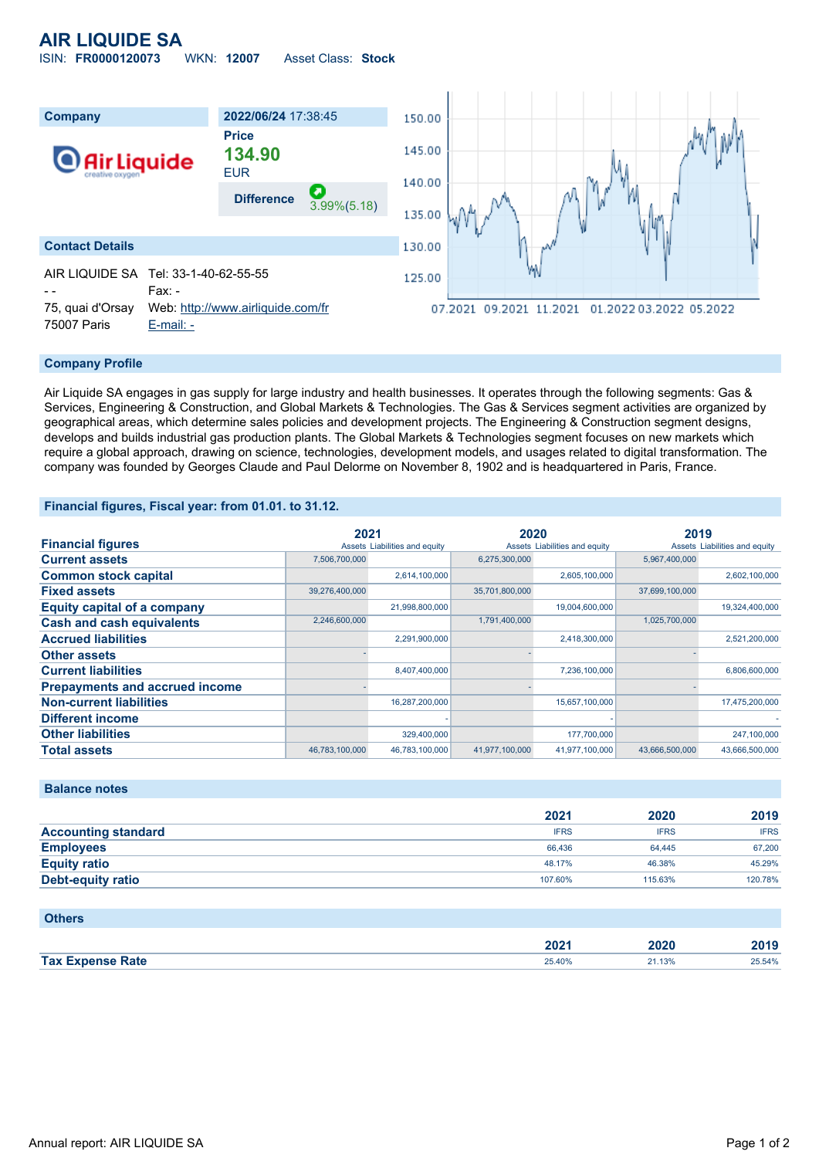## **AIR LIQUIDE SA**

ISIN: **FR0000120073** WKN: **12007** Asset Class: **Stock**



#### **Company Profile**

Air Liquide SA engages in gas supply for large industry and health businesses. It operates through the following segments: Gas & Services, Engineering & Construction, and Global Markets & Technologies. The Gas & Services segment activities are organized by geographical areas, which determine sales policies and development projects. The Engineering & Construction segment designs, develops and builds industrial gas production plants. The Global Markets & Technologies segment focuses on new markets which require a global approach, drawing on science, technologies, development models, and usages related to digital transformation. The company was founded by Georges Claude and Paul Delorme on November 8, 1902 and is headquartered in Paris, France.

#### **Financial figures, Fiscal year: from 01.01. to 31.12.**

|                                       | 2021           |                               | 2020           |                               | 2019           |                               |
|---------------------------------------|----------------|-------------------------------|----------------|-------------------------------|----------------|-------------------------------|
| <b>Financial figures</b>              |                | Assets Liabilities and equity |                | Assets Liabilities and equity |                | Assets Liabilities and equity |
| <b>Current assets</b>                 | 7,506,700,000  |                               | 6,275,300,000  |                               | 5,967,400,000  |                               |
| <b>Common stock capital</b>           |                | 2,614,100,000                 |                | 2,605,100,000                 |                | 2,602,100,000                 |
| <b>Fixed assets</b>                   | 39,276,400,000 |                               | 35,701,800,000 |                               | 37,699,100,000 |                               |
| <b>Equity capital of a company</b>    |                | 21,998,800,000                |                | 19,004,600,000                |                | 19,324,400,000                |
| <b>Cash and cash equivalents</b>      | 2,246,600,000  |                               | 1,791,400,000  |                               | 1,025,700,000  |                               |
| <b>Accrued liabilities</b>            |                | 2,291,900,000                 |                | 2,418,300,000                 |                | 2,521,200,000                 |
| <b>Other assets</b>                   |                |                               |                |                               |                |                               |
| <b>Current liabilities</b>            |                | 8,407,400,000                 |                | 7,236,100,000                 |                | 6,806,600,000                 |
| <b>Prepayments and accrued income</b> |                |                               |                |                               |                |                               |
| <b>Non-current liabilities</b>        |                | 16,287,200,000                |                | 15,657,100,000                |                | 17,475,200,000                |
| <b>Different income</b>               |                |                               |                |                               |                |                               |
| <b>Other liabilities</b>              |                | 329,400,000                   |                | 177,700,000                   |                | 247,100,000                   |
| <b>Total assets</b>                   | 46.783.100.000 | 46.783.100.000                | 41,977,100,000 | 41,977,100,000                | 43.666.500.000 | 43.666.500.000                |

#### **Balance notes**

|                            | 2021        | 2020        | 2019        |
|----------------------------|-------------|-------------|-------------|
| <b>Accounting standard</b> | <b>IFRS</b> | <b>IFRS</b> | <b>IFRS</b> |
| <b>Employees</b>           | 66.436      | 64.445      | 67,200      |
| <b>Equity ratio</b>        | 48.17%      | 46.38%      | 45.29%      |
| Debt-equity ratio          | 107.60%     | 115.63%     | 120.78%     |

#### **Others**

|                         | 2021   | 2020 | 2010<br>40 I J |
|-------------------------|--------|------|----------------|
| <b>Tax Expense Rate</b> | 25.40% | .13% | 25.54%         |